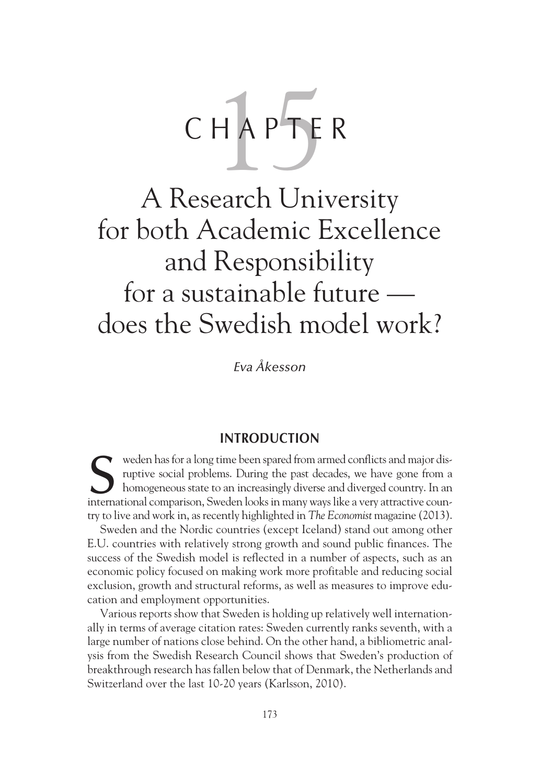# CHAPTER

# A Research University for both Academic Excellence and Responsibility for a sustainable future does the Swedish model work?

*Eva Åkesson*

## **INTRODUCTION**

weden has for a long time been spared from armed conflicts and major disruptive social problems. During the past decades, we have gone from a homogeneous state to an increasingly diverse and diverged country. In an weden has for a long time been spared from armed conflicts and major disruptive social problems. During the past decades, we have gone from a homogeneous state to an increasingly diverse and diverged country. In an interna try to live and work in, as recently highlighted in *The Economist* magazine (2013).

Sweden and the Nordic countries (except Iceland) stand out among other E.U. countries with relatively strong growth and sound public finances. The success of the Swedish model is reflected in a number of aspects, such as an economic policy focused on making work more profitable and reducing social exclusion, growth and structural reforms, as well as measures to improve education and employment opportunities.

Various reports show that Sweden is holding up relatively well internationally in terms of average citation rates: Sweden currently ranks seventh, with a large number of nations close behind. On the other hand, a bibliometric analysis from the Swedish Research Council shows that Sweden's production of breakthrough research has fallen below that of Denmark, the Netherlands and Switzerland over the last 10-20 years (Karlsson, 2010).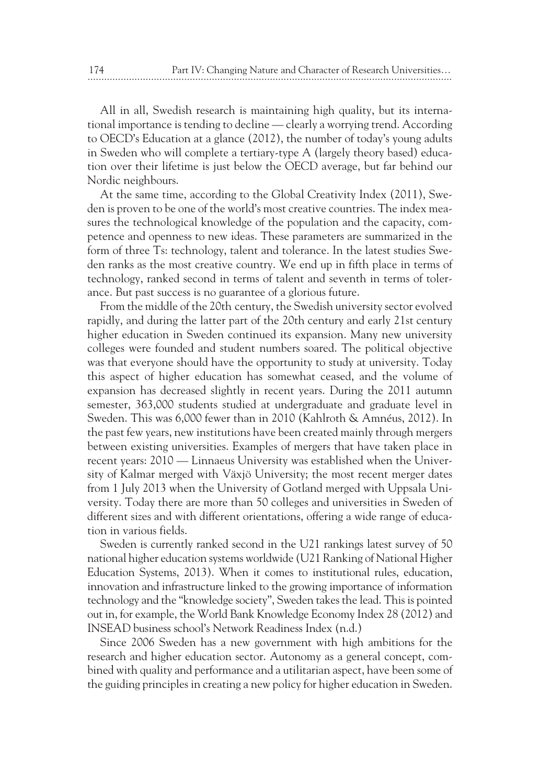All in all, Swedish research is maintaining high quality, but its international importance is tending to decline — clearly a worrying trend. According to OECD's Education at a glance (2012), the number of today's young adults in Sweden who will complete a tertiary-type A (largely theory based) education over their lifetime is just below the OECD average, but far behind our Nordic neighbours.

At the same time, according to the Global Creativity Index (2011), Sweden is proven to be one of the world's most creative countries. The index measures the technological knowledge of the population and the capacity, competence and openness to new ideas. These parameters are summarized in the form of three Ts: technology, talent and tolerance. In the latest studies Sweden ranks as the most creative country. We end up in fifth place in terms of technology, ranked second in terms of talent and seventh in terms of tolerance. But past success is no guarantee of a glorious future.

From the middle of the 20th century, the Swedish university sector evolved rapidly, and during the latter part of the 20th century and early 21st century higher education in Sweden continued its expansion. Many new university colleges were founded and student numbers soared. The political objective was that everyone should have the opportunity to study at university. Today this aspect of higher education has somewhat ceased, and the volume of expansion has decreased slightly in recent years. During the 2011 autumn semester, 363,000 students studied at undergraduate and graduate level in Sweden. This was 6,000 fewer than in 2010 (Kahlroth & Amnéus, 2012). In the past few years, new institutions have been created mainly through mergers between existing universities. Examples of mergers that have taken place in recent years: 2010 — Linnaeus University was established when the University of Kalmar merged with Växjö University; the most recent merger dates from 1 July 2013 when the University of Gotland merged with Uppsala University. Today there are more than 50 colleges and universities in Sweden of different sizes and with different orientations, offering a wide range of education in various fields.

Sweden is currently ranked second in the U21 rankings latest survey of 50 national higher education systems worldwide (U21 Ranking of National Higher Education Systems, 2013). When it comes to institutional rules, education, innovation and infrastructure linked to the growing importance of information technology and the "knowledge society", Sweden takes the lead. This is pointed out in, for example, the World Bank Knowledge Economy Index 28 (2012) and INSEAD business school's Network Readiness Index (n.d.)

Since 2006 Sweden has a new government with high ambitions for the research and higher education sector. Autonomy as a general concept, combined with quality and performance and a utilitarian aspect, have been some of the guiding principles in creating a new policy for higher education in Sweden.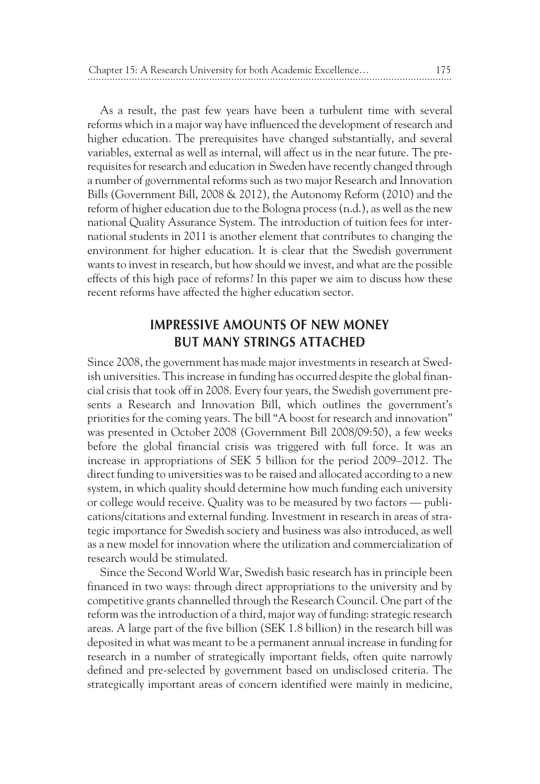As a result, the past few years have been a turbulent time with several reforms which in a major way have influenced the development of research and higher education. The prerequisites have changed substantially, and several variables, external as well as internal, will affect us in the near future. The prerequisites for research and education in Sweden have recently changed through a number of governmental reforms such as two major Research and Innovation Bills (Government Bill, 2008 & 2012), the Autonomy Reform (2010) and the reform of higher education due to the Bologna process (n.d.), as well as the new national Quality Assurance System. The introduction of tuition fees for international students in 2011 is another element that contributes to changing the environment for higher education. It is clear that the Swedish government wants to invest in research, but how should we invest, and what are the possible effects of this high pace of reforms? In this paper we aim to discuss how these recent reforms have affected the higher education sector.

# **IMPRESSIVE AMOUNTS OF NEW MONEY BUT MANY STRINGS ATTACHED**

Since 2008, the government has made major investments in research at Swedish universities. This increase in funding has occurred despite the global financial crisis that took off in 2008. Every four years, the Swedish government presents a Research and Innovation Bill, which outlines the government's priorities for the coming years. The bill "A boost for research and innovation" was presented in October 2008 (Government Bill 2008/09:50), a few weeks before the global financial crisis was triggered with full force. It was an increase in appropriations of SEK 5 billion for the period 2009–2012. The direct funding to universities was to be raised and allocated according to a new system, in which quality should determine how much funding each university or college would receive. Quality was to be measured by two factors — publications/citations and external funding. Investment in research in areas of strategic importance for Swedish society and business was also introduced, as well as a new model for innovation where the utilization and commercialization of research would be stimulated.

Since the Second World War, Swedish basic research has in principle been financed in two ways: through direct appropriations to the university and by competitive grants channelled through the Research Council. One part of the reform was the introduction of a third, major way of funding: strategic research areas. A large part of the five billion (SEK 1.8 billion) in the research bill was deposited in what was meant to be a permanent annual increase in funding for research in a number of strategically important fields, often quite narrowly defined and pre-selected by government based on undisclosed criteria. The strategically important areas of concern identified were mainly in medicine,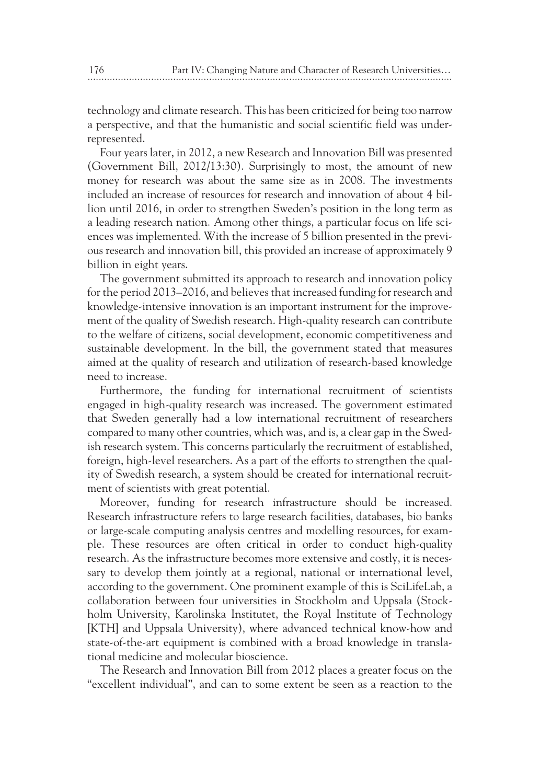technology and climate research. This has been criticized for being too narrow a perspective, and that the humanistic and social scientific field was underrepresented.

Four years later, in 2012, a new Research and Innovation Bill was presented (Government Bill, 2012/13:30). Surprisingly to most, the amount of new money for research was about the same size as in 2008. The investments included an increase of resources for research and innovation of about 4 billion until 2016, in order to strengthen Sweden's position in the long term as a leading research nation. Among other things, a particular focus on life sciences was implemented. With the increase of 5 billion presented in the previous research and innovation bill, this provided an increase of approximately 9 billion in eight years.

The government submitted its approach to research and innovation policy for the period 2013–2016, and believes that increased funding for research and knowledge-intensive innovation is an important instrument for the improvement of the quality of Swedish research. High-quality research can contribute to the welfare of citizens, social development, economic competitiveness and sustainable development. In the bill, the government stated that measures aimed at the quality of research and utilization of research-based knowledge need to increase.

Furthermore, the funding for international recruitment of scientists engaged in high-quality research was increased. The government estimated that Sweden generally had a low international recruitment of researchers compared to many other countries, which was, and is, a clear gap in the Swedish research system. This concerns particularly the recruitment of established, foreign, high-level researchers. As a part of the efforts to strengthen the quality of Swedish research, a system should be created for international recruitment of scientists with great potential.

Moreover, funding for research infrastructure should be increased. Research infrastructure refers to large research facilities, databases, bio banks or large-scale computing analysis centres and modelling resources, for example. These resources are often critical in order to conduct high-quality research. As the infrastructure becomes more extensive and costly, it is necessary to develop them jointly at a regional, national or international level, according to the government. One prominent example of this is SciLifeLab, a collaboration between four universities in Stockholm and Uppsala (Stockholm University, Karolinska Institutet, the Royal Institute of Technology [KTH] and Uppsala University), where advanced technical know-how and state-of-the-art equipment is combined with a broad knowledge in translational medicine and molecular bioscience.

The Research and Innovation Bill from 2012 places a greater focus on the "excellent individual", and can to some extent be seen as a reaction to the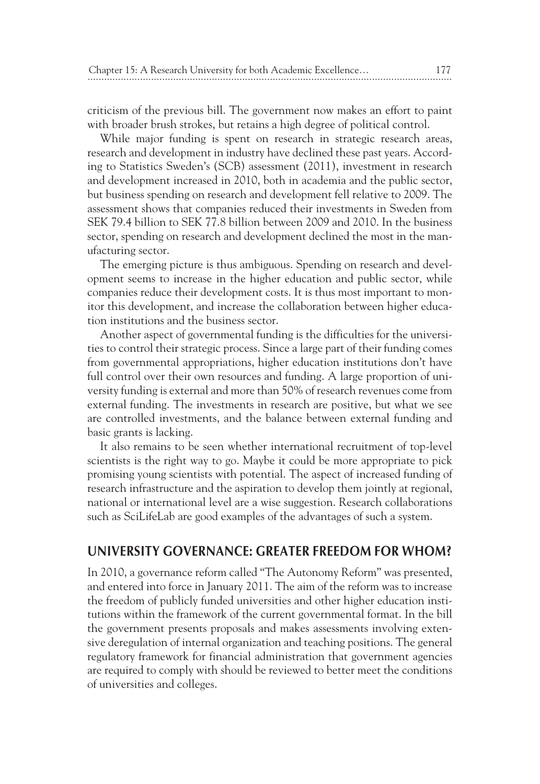criticism of the previous bill. The government now makes an effort to paint with broader brush strokes, but retains a high degree of political control.

While major funding is spent on research in strategic research areas, research and development in industry have declined these past years. According to Statistics Sweden's (SCB) assessment (2011), investment in research and development increased in 2010, both in academia and the public sector, but business spending on research and development fell relative to 2009. The assessment shows that companies reduced their investments in Sweden from SEK 79.4 billion to SEK 77.8 billion between 2009 and 2010. In the business sector, spending on research and development declined the most in the manufacturing sector.

The emerging picture is thus ambiguous. Spending on research and development seems to increase in the higher education and public sector, while companies reduce their development costs. It is thus most important to monitor this development, and increase the collaboration between higher education institutions and the business sector.

Another aspect of governmental funding is the difficulties for the universities to control their strategic process. Since a large part of their funding comes from governmental appropriations, higher education institutions don't have full control over their own resources and funding. A large proportion of university funding is external and more than 50% of research revenues come from external funding. The investments in research are positive, but what we see are controlled investments, and the balance between external funding and basic grants is lacking.

It also remains to be seen whether international recruitment of top-level scientists is the right way to go. Maybe it could be more appropriate to pick promising young scientists with potential. The aspect of increased funding of research infrastructure and the aspiration to develop them jointly at regional, national or international level are a wise suggestion. Research collaborations such as SciLifeLab are good examples of the advantages of such a system.

#### **UNIVERSITY GOVERNANCE: GREATER FREEDOM FOR WHOM?**

In 2010, a governance reform called "The Autonomy Reform" was presented, and entered into force in January 2011. The aim of the reform was to increase the freedom of publicly funded universities and other higher education institutions within the framework of the current governmental format. In the bill the government presents proposals and makes assessments involving extensive deregulation of internal organization and teaching positions. The general regulatory framework for financial administration that government agencies are required to comply with should be reviewed to better meet the conditions of universities and colleges.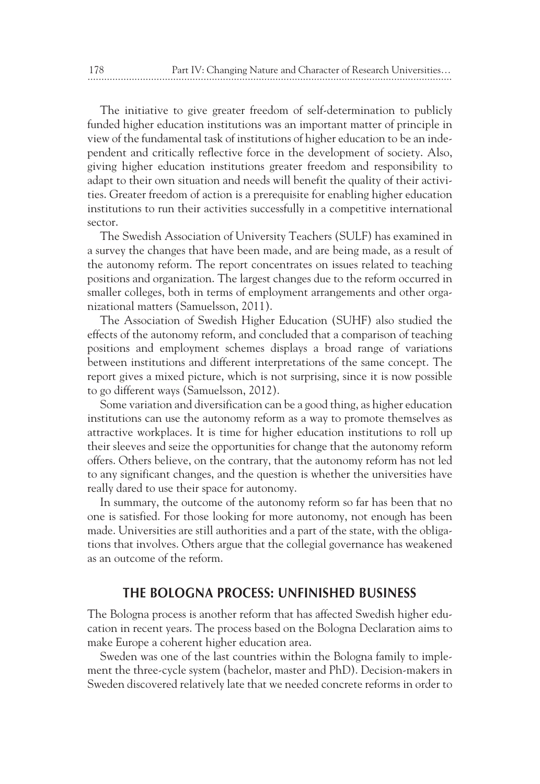The initiative to give greater freedom of self-determination to publicly funded higher education institutions was an important matter of principle in view of the fundamental task of institutions of higher education to be an independent and critically reflective force in the development of society. Also, giving higher education institutions greater freedom and responsibility to adapt to their own situation and needs will benefit the quality of their activities. Greater freedom of action is a prerequisite for enabling higher education institutions to run their activities successfully in a competitive international sector.

The Swedish Association of University Teachers (SULF) has examined in a survey the changes that have been made, and are being made, as a result of the autonomy reform. The report concentrates on issues related to teaching positions and organization. The largest changes due to the reform occurred in smaller colleges, both in terms of employment arrangements and other organizational matters (Samuelsson, 2011).

The Association of Swedish Higher Education (SUHF) also studied the effects of the autonomy reform, and concluded that a comparison of teaching positions and employment schemes displays a broad range of variations between institutions and different interpretations of the same concept. The report gives a mixed picture, which is not surprising, since it is now possible to go different ways (Samuelsson, 2012).

Some variation and diversification can be a good thing, as higher education institutions can use the autonomy reform as a way to promote themselves as attractive workplaces. It is time for higher education institutions to roll up their sleeves and seize the opportunities for change that the autonomy reform offers. Others believe, on the contrary, that the autonomy reform has not led to any significant changes, and the question is whether the universities have really dared to use their space for autonomy.

In summary, the outcome of the autonomy reform so far has been that no one is satisfied. For those looking for more autonomy, not enough has been made. Universities are still authorities and a part of the state, with the obligations that involves. Others argue that the collegial governance has weakened as an outcome of the reform.

#### **THE BOLOGNA PROCESS: UNFINISHED BUSINESS**

The Bologna process is another reform that has affected Swedish higher education in recent years. The process based on the Bologna Declaration aims to make Europe a coherent higher education area.

Sweden was one of the last countries within the Bologna family to implement the three-cycle system (bachelor, master and PhD). Decision-makers in Sweden discovered relatively late that we needed concrete reforms in order to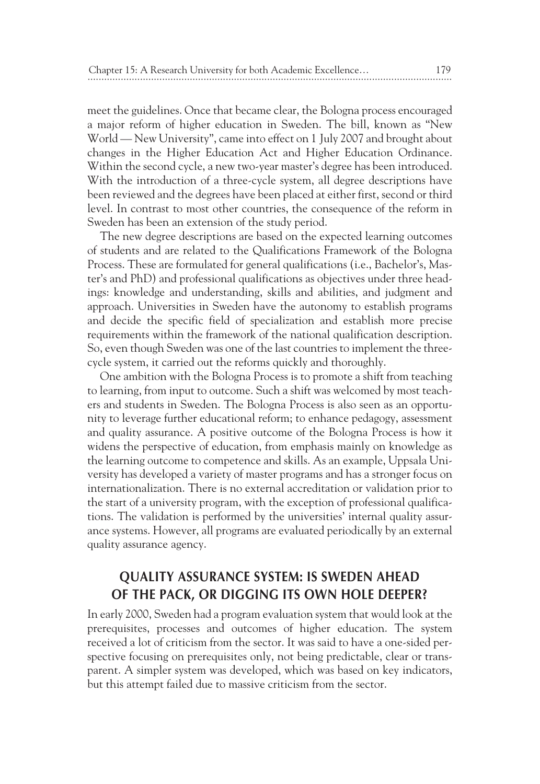meet the guidelines. Once that became clear, the Bologna process encouraged a major reform of higher education in Sweden. The bill, known as "New World — New University", came into effect on 1 July 2007 and brought about changes in the Higher Education Act and Higher Education Ordinance. Within the second cycle, a new two-year master's degree has been introduced. With the introduction of a three-cycle system, all degree descriptions have been reviewed and the degrees have been placed at either first, second or third level. In contrast to most other countries, the consequence of the reform in Sweden has been an extension of the study period.

The new degree descriptions are based on the expected learning outcomes of students and are related to the Qualifications Framework of the Bologna Process. These are formulated for general qualifications (i.e., Bachelor's, Master's and PhD) and professional qualifications as objectives under three headings: knowledge and understanding, skills and abilities, and judgment and approach. Universities in Sweden have the autonomy to establish programs and decide the specific field of specialization and establish more precise requirements within the framework of the national qualification description. So, even though Sweden was one of the last countries to implement the threecycle system, it carried out the reforms quickly and thoroughly.

One ambition with the Bologna Process is to promote a shift from teaching to learning, from input to outcome. Such a shift was welcomed by most teachers and students in Sweden. The Bologna Process is also seen as an opportunity to leverage further educational reform; to enhance pedagogy, assessment and quality assurance. A positive outcome of the Bologna Process is how it widens the perspective of education, from emphasis mainly on knowledge as the learning outcome to competence and skills. As an example, Uppsala University has developed a variety of master programs and has a stronger focus on internationalization. There is no external accreditation or validation prior to the start of a university program, with the exception of professional qualifications. The validation is performed by the universities' internal quality assurance systems. However, all programs are evaluated periodically by an external quality assurance agency.

# **QUALITY ASSURANCE SYSTEM: IS SWEDEN AHEAD OF THE PACK, OR DIGGING ITS OWN HOLE DEEPER?**

In early 2000, Sweden had a program evaluation system that would look at the prerequisites, processes and outcomes of higher education. The system received a lot of criticism from the sector. It was said to have a one-sided perspective focusing on prerequisites only, not being predictable, clear or transparent. A simpler system was developed, which was based on key indicators, but this attempt failed due to massive criticism from the sector.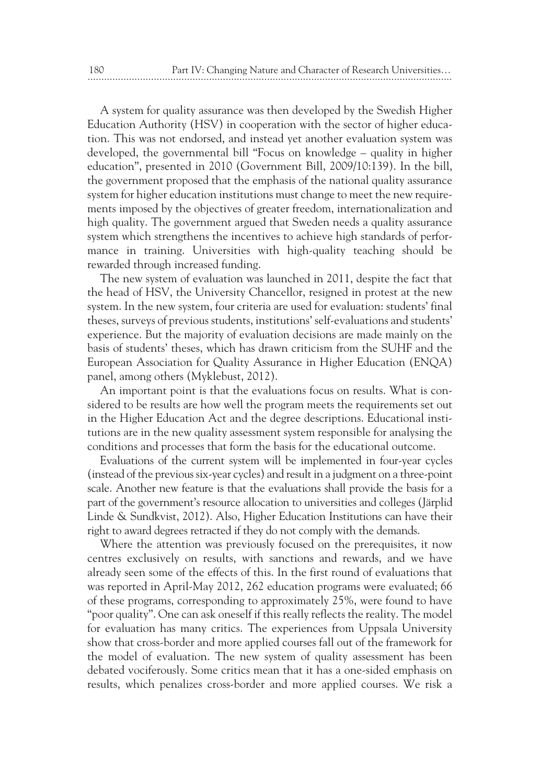A system for quality assurance was then developed by the Swedish Higher Education Authority (HSV) in cooperation with the sector of higher education. This was not endorsed, and instead yet another evaluation system was developed, the governmental bill "Focus on knowledge – quality in higher education", presented in 2010 (Government Bill, 2009/10:139). In the bill, the government proposed that the emphasis of the national quality assurance system for higher education institutions must change to meet the new requirements imposed by the objectives of greater freedom, internationalization and high quality. The government argued that Sweden needs a quality assurance system which strengthens the incentives to achieve high standards of performance in training. Universities with high-quality teaching should be rewarded through increased funding.

The new system of evaluation was launched in 2011, despite the fact that the head of HSV, the University Chancellor, resigned in protest at the new system. In the new system, four criteria are used for evaluation: students' final theses, surveys of previous students, institutions' self-evaluations and students' experience. But the majority of evaluation decisions are made mainly on the basis of students' theses, which has drawn criticism from the SUHF and the European Association for Quality Assurance in Higher Education (ENQA) panel, among others (Myklebust, 2012).

An important point is that the evaluations focus on results. What is considered to be results are how well the program meets the requirements set out in the Higher Education Act and the degree descriptions. Educational institutions are in the new quality assessment system responsible for analysing the conditions and processes that form the basis for the educational outcome.

Evaluations of the current system will be implemented in four-year cycles (instead of the previous six-year cycles) and result in a judgment on a three-point scale. Another new feature is that the evaluations shall provide the basis for a part of the government's resource allocation to universities and colleges (Järplid Linde & Sundkvist, 2012). Also, Higher Education Institutions can have their right to award degrees retracted if they do not comply with the demands.

Where the attention was previously focused on the prerequisites, it now centres exclusively on results, with sanctions and rewards, and we have already seen some of the effects of this. In the first round of evaluations that was reported in April-May 2012, 262 education programs were evaluated; 66 of these programs, corresponding to approximately 25%, were found to have "poor quality". One can ask oneself if this really reflects the reality. The model for evaluation has many critics. The experiences from Uppsala University show that cross-border and more applied courses fall out of the framework for the model of evaluation. The new system of quality assessment has been debated vociferously. Some critics mean that it has a one-sided emphasis on results, which penalizes cross-border and more applied courses. We risk a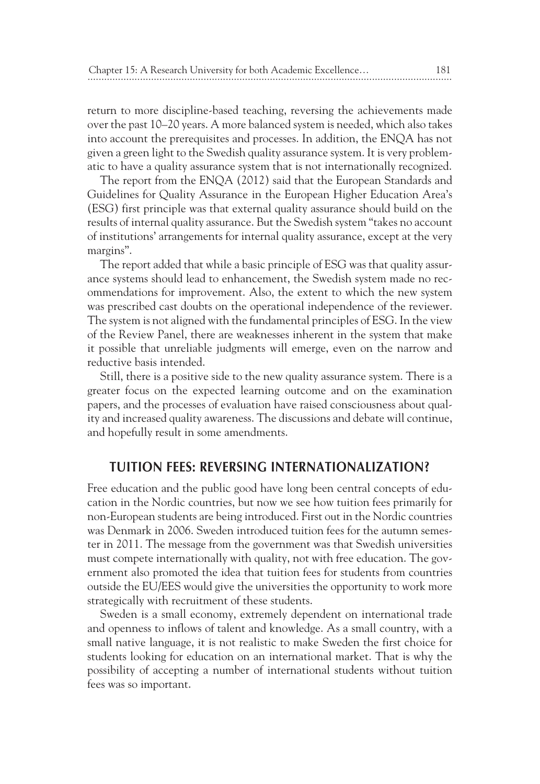return to more discipline-based teaching, reversing the achievements made over the past 10–20 years. A more balanced system is needed, which also takes into account the prerequisites and processes. In addition, the ENQA has not given a green light to the Swedish quality assurance system. It is very problematic to have a quality assurance system that is not internationally recognized.

The report from the ENQA (2012) said that the European Standards and Guidelines for Quality Assurance in the European Higher Education Area's (ESG) first principle was that external quality assurance should build on the results of internal quality assurance. But the Swedish system "takes no account of institutions' arrangements for internal quality assurance, except at the very margins".

The report added that while a basic principle of ESG was that quality assurance systems should lead to enhancement, the Swedish system made no recommendations for improvement. Also, the extent to which the new system was prescribed cast doubts on the operational independence of the reviewer. The system is not aligned with the fundamental principles of ESG. In the view of the Review Panel, there are weaknesses inherent in the system that make it possible that unreliable judgments will emerge, even on the narrow and reductive basis intended.

Still, there is a positive side to the new quality assurance system. There is a greater focus on the expected learning outcome and on the examination papers, and the processes of evaluation have raised consciousness about quality and increased quality awareness. The discussions and debate will continue, and hopefully result in some amendments.

#### **TUITION FEES: REVERSING INTERNATIONALIZATION?**

Free education and the public good have long been central concepts of education in the Nordic countries, but now we see how tuition fees primarily for non-European students are being introduced. First out in the Nordic countries was Denmark in 2006. Sweden introduced tuition fees for the autumn semester in 2011. The message from the government was that Swedish universities must compete internationally with quality, not with free education. The government also promoted the idea that tuition fees for students from countries outside the EU/EES would give the universities the opportunity to work more strategically with recruitment of these students.

Sweden is a small economy, extremely dependent on international trade and openness to inflows of talent and knowledge. As a small country, with a small native language, it is not realistic to make Sweden the first choice for students looking for education on an international market. That is why the possibility of accepting a number of international students without tuition fees was so important.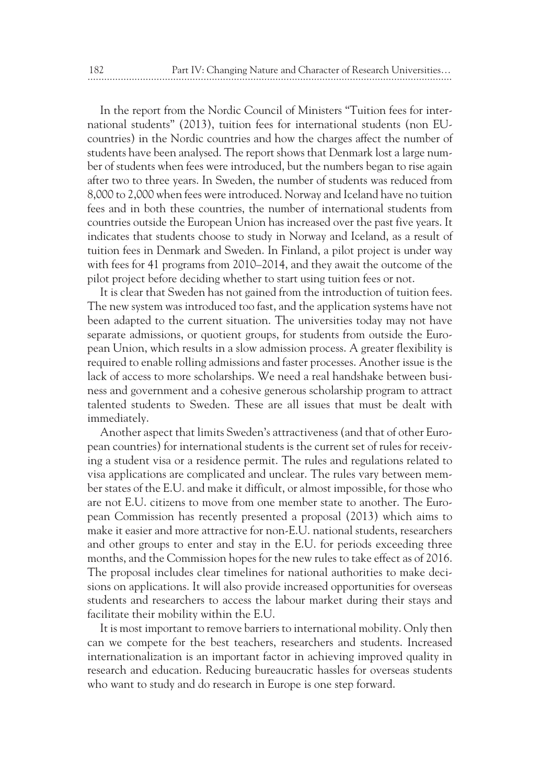In the report from the Nordic Council of Ministers "Tuition fees for international students" (2013), tuition fees for international students (non EUcountries) in the Nordic countries and how the charges affect the number of students have been analysed. The report shows that Denmark lost a large number of students when fees were introduced, but the numbers began to rise again after two to three years. In Sweden, the number of students was reduced from 8,000 to 2,000 when fees were introduced. Norway and Iceland have no tuition fees and in both these countries, the number of international students from countries outside the European Union has increased over the past five years. It indicates that students choose to study in Norway and Iceland, as a result of tuition fees in Denmark and Sweden. In Finland, a pilot project is under way with fees for 41 programs from 2010–2014, and they await the outcome of the pilot project before deciding whether to start using tuition fees or not.

It is clear that Sweden has not gained from the introduction of tuition fees. The new system was introduced too fast, and the application systems have not been adapted to the current situation. The universities today may not have separate admissions, or quotient groups, for students from outside the European Union, which results in a slow admission process. A greater flexibility is required to enable rolling admissions and faster processes. Another issue is the lack of access to more scholarships. We need a real handshake between business and government and a cohesive generous scholarship program to attract talented students to Sweden. These are all issues that must be dealt with immediately.

Another aspect that limits Sweden's attractiveness (and that of other European countries) for international students is the current set of rules for receiving a student visa or a residence permit. The rules and regulations related to visa applications are complicated and unclear. The rules vary between member states of the E.U. and make it difficult, or almost impossible, for those who are not E.U. citizens to move from one member state to another. The European Commission has recently presented a proposal (2013) which aims to make it easier and more attractive for non-E.U. national students, researchers and other groups to enter and stay in the E.U. for periods exceeding three months, and the Commission hopes for the new rules to take effect as of 2016. The proposal includes clear timelines for national authorities to make decisions on applications. It will also provide increased opportunities for overseas students and researchers to access the labour market during their stays and facilitate their mobility within the E.U.

It is most important to remove barriers to international mobility. Only then can we compete for the best teachers, researchers and students. Increased internationalization is an important factor in achieving improved quality in research and education. Reducing bureaucratic hassles for overseas students who want to study and do research in Europe is one step forward.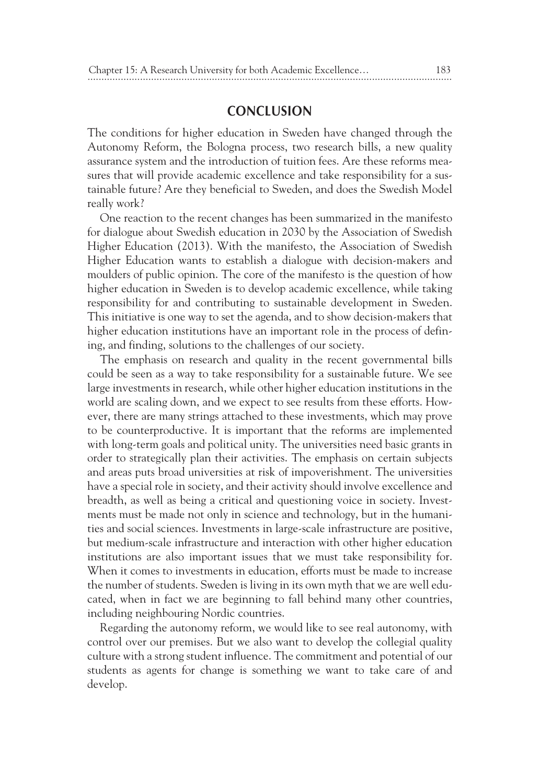### **CONCLUSION**

The conditions for higher education in Sweden have changed through the Autonomy Reform, the Bologna process, two research bills, a new quality assurance system and the introduction of tuition fees. Are these reforms measures that will provide academic excellence and take responsibility for a sustainable future? Are they beneficial to Sweden, and does the Swedish Model really work?

One reaction to the recent changes has been summarized in the manifesto for dialogue about Swedish education in 2030 by the Association of Swedish Higher Education (2013). With the manifesto, the Association of Swedish Higher Education wants to establish a dialogue with decision-makers and moulders of public opinion. The core of the manifesto is the question of how higher education in Sweden is to develop academic excellence, while taking responsibility for and contributing to sustainable development in Sweden. This initiative is one way to set the agenda, and to show decision-makers that higher education institutions have an important role in the process of defining, and finding, solutions to the challenges of our society.

The emphasis on research and quality in the recent governmental bills could be seen as a way to take responsibility for a sustainable future. We see large investments in research, while other higher education institutions in the world are scaling down, and we expect to see results from these efforts. However, there are many strings attached to these investments, which may prove to be counterproductive. It is important that the reforms are implemented with long-term goals and political unity. The universities need basic grants in order to strategically plan their activities. The emphasis on certain subjects and areas puts broad universities at risk of impoverishment. The universities have a special role in society, and their activity should involve excellence and breadth, as well as being a critical and questioning voice in society. Investments must be made not only in science and technology, but in the humanities and social sciences. Investments in large-scale infrastructure are positive, but medium-scale infrastructure and interaction with other higher education institutions are also important issues that we must take responsibility for. When it comes to investments in education, efforts must be made to increase the number of students. Sweden is living in its own myth that we are well educated, when in fact we are beginning to fall behind many other countries, including neighbouring Nordic countries.

Regarding the autonomy reform, we would like to see real autonomy, with control over our premises. But we also want to develop the collegial quality culture with a strong student influence. The commitment and potential of our students as agents for change is something we want to take care of and develop.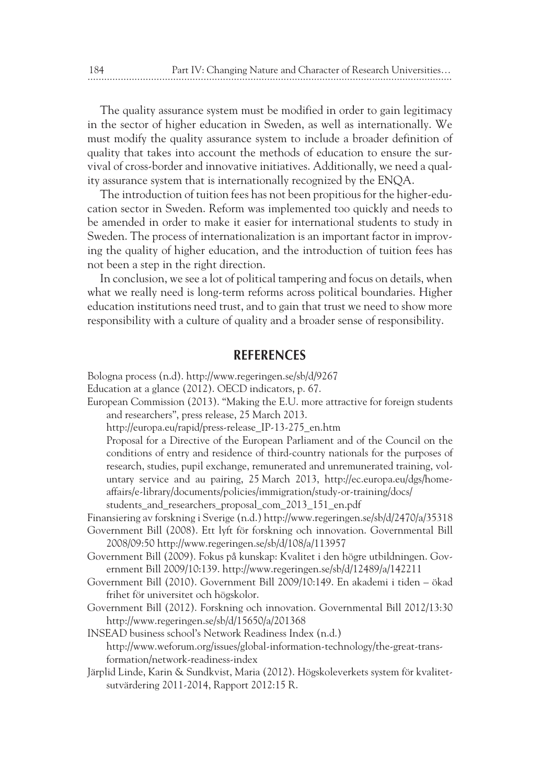The quality assurance system must be modified in order to gain legitimacy in the sector of higher education in Sweden, as well as internationally. We must modify the quality assurance system to include a broader definition of quality that takes into account the methods of education to ensure the survival of cross-border and innovative initiatives. Additionally, we need a quality assurance system that is internationally recognized by the ENQA.

The introduction of tuition fees has not been propitious for the higher-education sector in Sweden. Reform was implemented too quickly and needs to be amended in order to make it easier for international students to study in Sweden. The process of internationalization is an important factor in improving the quality of higher education, and the introduction of tuition fees has not been a step in the right direction.

In conclusion, we see a lot of political tampering and focus on details, when what we really need is long-term reforms across political boundaries. Higher education institutions need trust, and to gain that trust we need to show more responsibility with a culture of quality and a broader sense of responsibility.

#### **REFERENCES**

Bologna process (n.d). http://www.regeringen.se/sb/d/9267

- Education at a glance (2012). OECD indicators, p. 67.
- European Commission (2013). "Making the E.U. more attractive for foreign students and researchers", press release, 25 March 2013.

http://europa.eu/rapid/press-release\_IP-13-275\_en.htm

Proposal for a Directive of the European Parliament and of the Council on the conditions of entry and residence of third-country nationals for the purposes of research, studies, pupil exchange, remunerated and unremunerated training, voluntary service and au pairing, 25 March 2013, http://ec.europa.eu/dgs/homeaffairs/e-library/documents/policies/immigration/study-or-training/docs/ students\_and\_researchers\_proposal\_com\_2013\_151\_en.pdf

Finansiering av forskning i Sverige (n.d.) http://www.regeringen.se/sb/d/2470/a/35318

- Government Bill (2008). Ett lyft för forskning och innovation. Governmental Bill 2008/09:50 http://www.regeringen.se/sb/d/108/a/113957
- Government Bill (2009). Fokus på kunskap: Kvalitet i den högre utbildningen. Government Bill 2009/10:139. http://www.regeringen.se/sb/d/12489/a/142211
- Government Bill (2010). Government Bill 2009/10:149. En akademi i tiden ökad frihet för universitet och högskolor.
- Government Bill (2012). Forskning och innovation. Governmental Bill 2012/13:30 http://www.regeringen.se/sb/d/15650/a/201368

INSEAD business school's Network Readiness Index (n.d.) http://www.weforum.org/issues/global-information-technology/the-great-transformation/network-readiness-index

Järplid Linde, Karin & Sundkvist, Maria (2012). Högskoleverkets system för kvalitetsutvärdering 2011-2014, Rapport 2012:15 R.